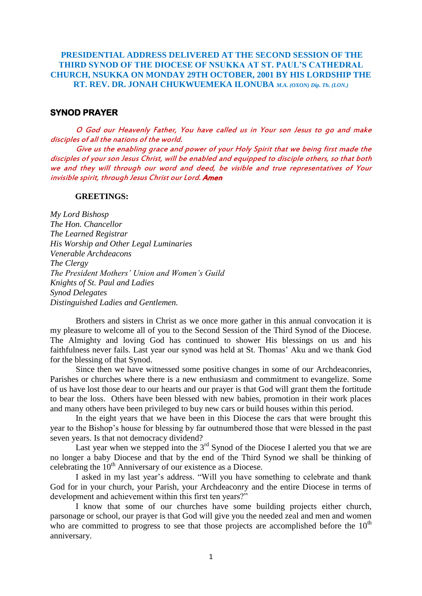## **PRESIDENTIAL ADDRESS DELIVERED AT THE SECOND SESSION OF THE THIRD SYNOD OF THE DIOCESE OF NSUKKA AT ST. PAUL'S CATHEDRAL CHURCH, NSUKKA ON MONDAY 29TH OCTOBER, 2001 BY HIS LORDSHIP THE RT. REV. DR. JONAH CHUKWUEMEKA ILONUBA** *M.A. (OXON) Dip. Th. (LON.)*

## **SYNOD PRAYER**

O God our Heavenly Father, You have called us in Your son Jesus to go and make disciples of all the nations of the world.

Give us the enabling grace and power of your Holy Spirit that we being first made the disciples of your son Jesus Christ, will be enabled and equipped to disciple others, so that both we and they will through our word and deed, be visible and true representatives of Your invisible spirit, through Jesus Christ our Lord. Amen

#### **GREETINGS:**

*My Lord Bishosp The Hon. Chancellor The Learned Registrar His Worship and Other Legal Luminaries Venerable Archdeacons The Clergy The President Mothers' Union and Women's Guild Knights of St. Paul and Ladies Synod Delegates Distinguished Ladies and Gentlemen.*

Brothers and sisters in Christ as we once more gather in this annual convocation it is my pleasure to welcome all of you to the Second Session of the Third Synod of the Diocese. The Almighty and loving God has continued to shower His blessings on us and his faithfulness never fails. Last year our synod was held at St. Thomas" Aku and we thank God for the blessing of that Synod.

Since then we have witnessed some positive changes in some of our Archdeaconries, Parishes or churches where there is a new enthusiasm and commitment to evangelize. Some of us have lost those dear to our hearts and our prayer is that God will grant them the fortitude to bear the loss. Others have been blessed with new babies, promotion in their work places and many others have been privileged to buy new cars or build houses within this period.

In the eight years that we have been in this Diocese the cars that were brought this year to the Bishop"s house for blessing by far outnumbered those that were blessed in the past seven years. Is that not democracy dividend?

Last year when we stepped into the  $3<sup>rd</sup>$  Synod of the Diocese I alerted you that we are no longer a baby Diocese and that by the end of the Third Synod we shall be thinking of celebrating the  $10<sup>th</sup>$  Anniversary of our existence as a Diocese.

I asked in my last year"s address. "Will you have something to celebrate and thank God for in your church, your Parish, your Archdeaconry and the entire Diocese in terms of development and achievement within this first ten years?"

I know that some of our churches have some building projects either church, parsonage or school, our prayer is that God will give you the needed zeal and men and women who are committed to progress to see that those projects are accomplished before the  $10<sup>th</sup>$ anniversary.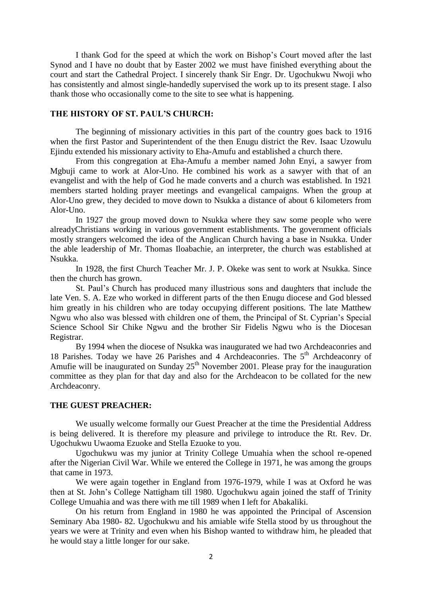I thank God for the speed at which the work on Bishop"s Court moved after the last Synod and I have no doubt that by Easter 2002 we must have finished everything about the court and start the Cathedral Project. I sincerely thank Sir Engr. Dr. Ugochukwu Nwoji who has consistently and almost single-handedly supervised the work up to its present stage. I also thank those who occasionally come to the site to see what is happening.

## **THE HISTORY OF ST. PAUL'S CHURCH:**

The beginning of missionary activities in this part of the country goes back to 1916 when the first Pastor and Superintendent of the then Enugu district the Rev. Isaac Uzowulu Ejindu extended his missionary activity to Eha-Amufu and established a church there.

From this congregation at Eha-Amufu a member named John Enyi, a sawyer from Mgbuji came to work at Alor-Uno. He combined his work as a sawyer with that of an evangelist and with the help of God he made converts and a church was established. In 1921 members started holding prayer meetings and evangelical campaigns. When the group at Alor-Uno grew, they decided to move down to Nsukka a distance of about 6 kilometers from Alor-Uno.

In 1927 the group moved down to Nsukka where they saw some people who were alreadyChristians working in various government establishments. The government officials mostly strangers welcomed the idea of the Anglican Church having a base in Nsukka. Under the able leadership of Mr. Thomas Iloabachie, an interpreter, the church was established at Nsukka.

In 1928, the first Church Teacher Mr. J. P. Okeke was sent to work at Nsukka. Since then the church has grown.

St. Paul"s Church has produced many illustrious sons and daughters that include the late Ven. S. A. Eze who worked in different parts of the then Enugu diocese and God blessed him greatly in his children who are today occupying different positions. The late Matthew Ngwu who also was blessed with children one of them, the Principal of St. Cyprian"s Special Science School Sir Chike Ngwu and the brother Sir Fidelis Ngwu who is the Diocesan Registrar.

By 1994 when the diocese of Nsukka was inaugurated we had two Archdeaconries and 18 Parishes. Today we have 26 Parishes and 4 Archdeaconries. The 5<sup>th</sup> Archdeaconry of Amufie will be inaugurated on Sunday  $25<sup>th</sup>$  November 2001. Please pray for the inauguration committee as they plan for that day and also for the Archdeacon to be collated for the new Archdeaconry.

#### **THE GUEST PREACHER:**

We usually welcome formally our Guest Preacher at the time the Presidential Address is being delivered. It is therefore my pleasure and privilege to introduce the Rt. Rev. Dr. Ugochukwu Uwaoma Ezuoke and Stella Ezuoke to you.

Ugochukwu was my junior at Trinity College Umuahia when the school re-opened after the Nigerian Civil War. While we entered the College in 1971, he was among the groups that came in 1973.

We were again together in England from 1976-1979, while I was at Oxford he was then at St. John"s College Nattigham till 1980. Ugochukwu again joined the staff of Trinity College Umuahia and was there with me till 1989 when I left for Abakaliki.

On his return from England in 1980 he was appointed the Principal of Ascension Seminary Aba 1980- 82. Ugochukwu and his amiable wife Stella stood by us throughout the years we were at Trinity and even when his Bishop wanted to withdraw him, he pleaded that he would stay a little longer for our sake.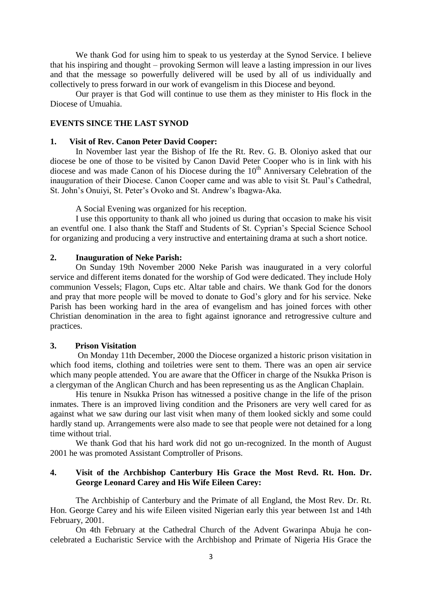We thank God for using him to speak to us yesterday at the Synod Service. I believe that his inspiring and thought – provoking Sermon will leave a lasting impression in our lives and that the message so powerfully delivered will be used by all of us individually and collectively to press forward in our work of evangelism in this Diocese and beyond.

Our prayer is that God will continue to use them as they minister to His flock in the Diocese of Umuahia.

## **EVENTS SINCE THE LAST SYNOD**

#### **1. Visit of Rev. Canon Peter David Cooper:**

In November last year the Bishop of Ife the Rt. Rev. G. B. Oloniyo asked that our diocese be one of those to be visited by Canon David Peter Cooper who is in link with his diocese and was made Canon of his Diocese during the  $10<sup>th</sup>$  Anniversary Celebration of the inauguration of their Diocese. Canon Cooper came and was able to visit St. Paul"s Cathedral, St. John"s Onuiyi, St. Peter"s Ovoko and St. Andrew"s Ibagwa-Aka.

A Social Evening was organized for his reception.

I use this opportunity to thank all who joined us during that occasion to make his visit an eventful one. I also thank the Staff and Students of St. Cyprian"s Special Science School for organizing and producing a very instructive and entertaining drama at such a short notice.

#### **2. Inauguration of Neke Parish:**

On Sunday 19th November 2000 Neke Parish was inaugurated in a very colorful service and different items donated for the worship of God were dedicated. They include Holy communion Vessels; Flagon, Cups etc. Altar table and chairs. We thank God for the donors and pray that more people will be moved to donate to God"s glory and for his service. Neke Parish has been working hard in the area of evangelism and has joined forces with other Christian denomination in the area to fight against ignorance and retrogressive culture and practices.

#### **3. Prison Visitation**

On Monday 11th December, 2000 the Diocese organized a historic prison visitation in which food items, clothing and toiletries were sent to them. There was an open air service which many people attended. You are aware that the Officer in charge of the Nsukka Prison is a clergyman of the Anglican Church and has been representing us as the Anglican Chaplain.

His tenure in Nsukka Prison has witnessed a positive change in the life of the prison inmates. There is an improved living condition and the Prisoners are very well cared for as against what we saw during our last visit when many of them looked sickly and some could hardly stand up. Arrangements were also made to see that people were not detained for a long time without trial.

We thank God that his hard work did not go un-recognized. In the month of August 2001 he was promoted Assistant Comptroller of Prisons.

#### **4. Visit of the Archbishop Canterbury His Grace the Most Revd. Rt. Hon. Dr. George Leonard Carey and His Wife Eileen Carey:**

The Archbiship of Canterbury and the Primate of all England, the Most Rev. Dr. Rt. Hon. George Carey and his wife Eileen visited Nigerian early this year between 1st and 14th February, 2001.

On 4th February at the Cathedral Church of the Advent Gwarinpa Abuja he concelebrated a Eucharistic Service with the Archbishop and Primate of Nigeria His Grace the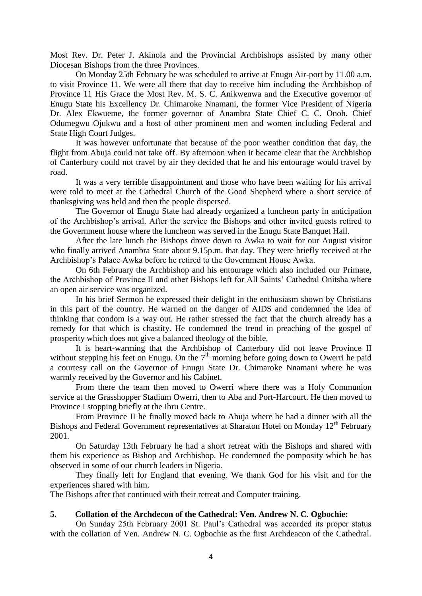Most Rev. Dr. Peter J. Akinola and the Provincial Archbishops assisted by many other Diocesan Bishops from the three Provinces.

On Monday 25th February he was scheduled to arrive at Enugu Air-port by 11.00 a.m. to visit Province 11. We were all there that day to receive him including the Archbishop of Province 11 His Grace the Most Rev. M. S. C. Anikwenwa and the Executive governor of Enugu State his Excellency Dr. Chimaroke Nnamani, the former Vice President of Nigeria Dr. Alex Ekwueme, the former governor of Anambra State Chief C. C. Onoh. Chief Odumegwu Ojukwu and a host of other prominent men and women including Federal and State High Court Judges.

It was however unfortunate that because of the poor weather condition that day, the flight from Abuja could not take off. By afternoon when it became clear that the Archbishop of Canterbury could not travel by air they decided that he and his entourage would travel by road.

It was a very terrible disappointment and those who have been waiting for his arrival were told to meet at the Cathedral Church of the Good Shepherd where a short service of thanksgiving was held and then the people dispersed.

The Governor of Enugu State had already organized a luncheon party in anticipation of the Archbishop"s arrival. After the service the Bishops and other invited guests retired to the Government house where the luncheon was served in the Enugu State Banquet Hall.

After the late lunch the Bishops drove down to Awka to wait for our August visitor who finally arrived Anambra State about 9.15p.m. that day. They were briefly received at the Archbishop"s Palace Awka before he retired to the Government House Awka.

On 6th February the Archbishop and his entourage which also included our Primate, the Archbishop of Province II and other Bishops left for All Saints" Cathedral Onitsha where an open air service was organized.

In his brief Sermon he expressed their delight in the enthusiasm shown by Christians in this part of the country. He warned on the danger of AIDS and condemned the idea of thinking that condom is a way out. He rather stressed the fact that the church already has a remedy for that which is chastity. He condemned the trend in preaching of the gospel of prosperity which does not give a balanced theology of the bible.

It is heart-warming that the Archbishop of Canterbury did not leave Province II without stepping his feet on Enugu. On the  $7<sup>th</sup>$  morning before going down to Owerri he paid a courtesy call on the Governor of Enugu State Dr. Chimaroke Nnamani where he was warmly received by the Governor and his Cabinet.

From there the team then moved to Owerri where there was a Holy Communion service at the Grasshopper Stadium Owerri, then to Aba and Port-Harcourt. He then moved to Province I stopping briefly at the Ibru Centre.

From Province II he finally moved back to Abuja where he had a dinner with all the Bishops and Federal Government representatives at Sharaton Hotel on Monday  $12<sup>th</sup>$  February 2001.

On Saturday 13th February he had a short retreat with the Bishops and shared with them his experience as Bishop and Archbishop. He condemned the pomposity which he has observed in some of our church leaders in Nigeria.

They finally left for England that evening. We thank God for his visit and for the experiences shared with him.

The Bishops after that continued with their retreat and Computer training.

## **5. Collation of the Archdecon of the Cathedral: Ven. Andrew N. C. Ogbochie:**

On Sunday 25th February 2001 St. Paul"s Cathedral was accorded its proper status with the collation of Ven. Andrew N. C. Ogbochie as the first Archdeacon of the Cathedral.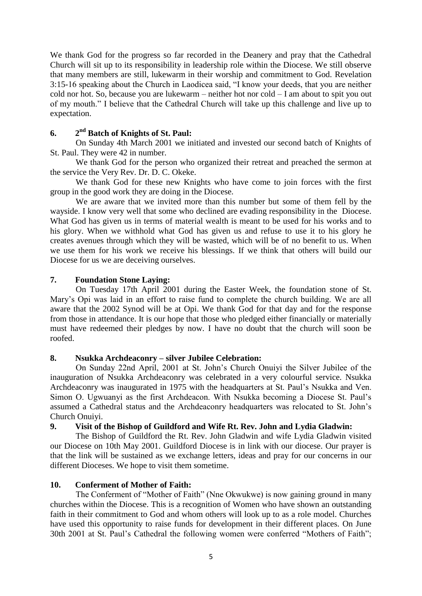We thank God for the progress so far recorded in the Deanery and pray that the Cathedral Church will sit up to its responsibility in leadership role within the Diocese. We still observe that many members are still, lukewarm in their worship and commitment to God. Revelation 3:15-16 speaking about the Church in Laodicea said, "I know your deeds, that you are neither cold nor hot. So, because you are lukewarm – neither hot nor cold – I am about to spit you out of my mouth." I believe that the Cathedral Church will take up this challenge and live up to expectation.

#### **6. 2 nd Batch of Knights of St. Paul:**

On Sunday 4th March 2001 we initiated and invested our second batch of Knights of St. Paul. They were 42 in number.

We thank God for the person who organized their retreat and preached the sermon at the service the Very Rev. Dr. D. C. Okeke.

We thank God for these new Knights who have come to join forces with the first group in the good work they are doing in the Diocese.

We are aware that we invited more than this number but some of them fell by the wayside. I know very well that some who declined are evading responsibility in the Diocese. What God has given us in terms of material wealth is meant to be used for his works and to his glory. When we withhold what God has given us and refuse to use it to his glory he creates avenues through which they will be wasted, which will be of no benefit to us. When we use them for his work we receive his blessings. If we think that others will build our Diocese for us we are deceiving ourselves.

## **7. Foundation Stone Laying:**

On Tuesday 17th April 2001 during the Easter Week, the foundation stone of St. Mary"s Opi was laid in an effort to raise fund to complete the church building. We are all aware that the 2002 Synod will be at Opi. We thank God for that day and for the response from those in attendance. It is our hope that those who pledged either financially or materially must have redeemed their pledges by now. I have no doubt that the church will soon be roofed.

## **8. Nsukka Archdeaconry – silver Jubilee Celebration:**

On Sunday 22nd April, 2001 at St. John"s Church Onuiyi the Silver Jubilee of the inauguration of Nsukka Archdeaconry was celebrated in a very colourful service. Nsukka Archdeaconry was inaugurated in 1975 with the headquarters at St. Paul"s Nsukka and Ven. Simon O. Ugwuanyi as the first Archdeacon. With Nsukka becoming a Diocese St. Paul"s assumed a Cathedral status and the Archdeaconry headquarters was relocated to St. John"s Church Onuiyi.

## **9. Visit of the Bishop of Guildford and Wife Rt. Rev. John and Lydia Gladwin:**

The Bishop of Guildford the Rt. Rev. John Gladwin and wife Lydia Gladwin visited our Diocese on 10th May 2001. Guildford Diocese is in link with our diocese. Our prayer is that the link will be sustained as we exchange letters, ideas and pray for our concerns in our different Dioceses. We hope to visit them sometime.

## **10. Conferment of Mother of Faith:**

The Conferment of "Mother of Faith" (Nne Okwukwe) is now gaining ground in many churches within the Diocese. This is a recognition of Women who have shown an outstanding faith in their commitment to God and whom others will look up to as a role model. Churches have used this opportunity to raise funds for development in their different places. On June 30th 2001 at St. Paul"s Cathedral the following women were conferred "Mothers of Faith";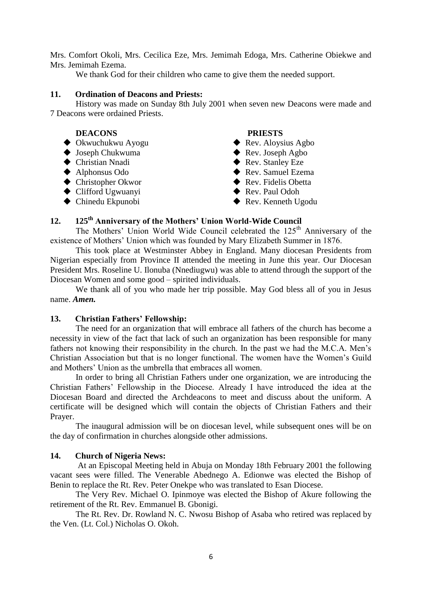Mrs. Comfort Okoli, Mrs. Cecilica Eze, Mrs. Jemimah Edoga, Mrs. Catherine Obiekwe and Mrs. Jemimah Ezema.

We thank God for their children who came to give them the needed support.

## **11. Ordination of Deacons and Priests:**

History was made on Sunday 8th July 2001 when seven new Deacons were made and 7 Deacons were ordained Priests.

## **DEACONS PRIESTS**

- $\blacklozenge$  Okwuchukwu Ayogu  $\blacklozenge$  Rev. Aloysius Agbo
- ◆ Joseph Chukwuma <br>◆ Rev. Joseph Agbo
- ◆ Christian Nnadi → Rev. Stanley Eze
- 
- ◆ Christopher Okwor → Rev. Fidelis Obetta
- ◆ Clifford Ugwuanyi → Rev. Paul Odoh
- 

- 
- 
- 
- Alphonsus Odo Rev. Samuel Ezema
	-
	-
- ◆ Chinedu Ekpunobi → Rev. Kenneth Ugodu

## **12. 125th Anniversary of the Mothers' Union World-Wide Council**

The Mothers' Union World Wide Council celebrated the 125<sup>th</sup> Anniversary of the existence of Mothers" Union which was founded by Mary Elizabeth Summer in 1876.

This took place at Westminster Abbey in England. Many diocesan Presidents from Nigerian especially from Province II attended the meeting in June this year. Our Diocesan President Mrs. Roseline U. Ilonuba (Nnediugwu) was able to attend through the support of the Diocesan Women and some good – spirited individuals.

We thank all of you who made her trip possible. May God bless all of you in Jesus name. *Amen.*

## **13. Christian Fathers' Fellowship:**

The need for an organization that will embrace all fathers of the church has become a necessity in view of the fact that lack of such an organization has been responsible for many fathers not knowing their responsibility in the church. In the past we had the M.C.A. Men's Christian Association but that is no longer functional. The women have the Women"s Guild and Mothers" Union as the umbrella that embraces all women.

In order to bring all Christian Fathers under one organization, we are introducing the Christian Fathers" Fellowship in the Diocese. Already I have introduced the idea at the Diocesan Board and directed the Archdeacons to meet and discuss about the uniform. A certificate will be designed which will contain the objects of Christian Fathers and their Prayer.

The inaugural admission will be on diocesan level, while subsequent ones will be on the day of confirmation in churches alongside other admissions.

## **14. Church of Nigeria News:**

At an Episcopal Meeting held in Abuja on Monday 18th February 2001 the following vacant sees were filled. The Venerable Abednego A. Edionwe was elected the Bishop of Benin to replace the Rt. Rev. Peter Onekpe who was translated to Esan Diocese.

The Very Rev. Michael O. Ipinmoye was elected the Bishop of Akure following the retirement of the Rt. Rev. Emmanuel B. Gbonigi.

The Rt. Rev. Dr. Rowland N. C. Nwosu Bishop of Asaba who retired was replaced by the Ven. (Lt. Col.) Nicholas O. Okoh.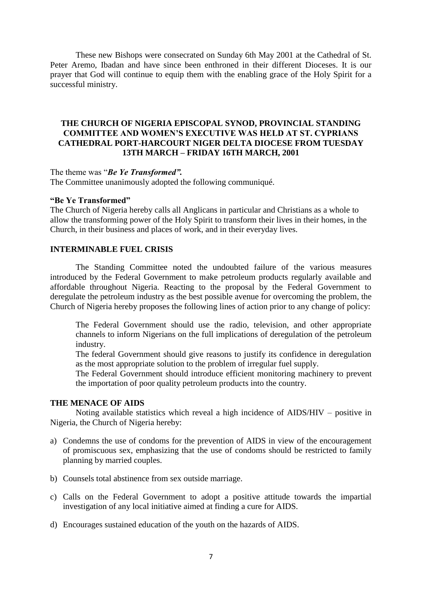These new Bishops were consecrated on Sunday 6th May 2001 at the Cathedral of St. Peter Aremo, Ibadan and have since been enthroned in their different Dioceses. It is our prayer that God will continue to equip them with the enabling grace of the Holy Spirit for a successful ministry.

## **THE CHURCH OF NIGERIA EPISCOPAL SYNOD, PROVINCIAL STANDING COMMITTEE AND WOMEN'S EXECUTIVE WAS HELD AT ST. CYPRIANS CATHEDRAL PORT-HARCOURT NIGER DELTA DIOCESE FROM TUESDAY 13TH MARCH – FRIDAY 16TH MARCH, 2001**

The theme was "*Be Ye Transformed".*

The Committee unanimously adopted the following communiqué.

#### **"Be Ye Transformed"**

The Church of Nigeria hereby calls all Anglicans in particular and Christians as a whole to allow the transforming power of the Holy Spirit to transform their lives in their homes, in the Church, in their business and places of work, and in their everyday lives.

## **INTERMINABLE FUEL CRISIS**

The Standing Committee noted the undoubted failure of the various measures introduced by the Federal Government to make petroleum products regularly available and affordable throughout Nigeria. Reacting to the proposal by the Federal Government to deregulate the petroleum industry as the best possible avenue for overcoming the problem, the Church of Nigeria hereby proposes the following lines of action prior to any change of policy:

The Federal Government should use the radio, television, and other appropriate channels to inform Nigerians on the full implications of deregulation of the petroleum industry.

The federal Government should give reasons to justify its confidence in deregulation as the most appropriate solution to the problem of irregular fuel supply.

The Federal Government should introduce efficient monitoring machinery to prevent the importation of poor quality petroleum products into the country.

### **THE MENACE OF AIDS**

Noting available statistics which reveal a high incidence of AIDS/HIV – positive in Nigeria, the Church of Nigeria hereby:

- a) Condemns the use of condoms for the prevention of AIDS in view of the encouragement of promiscuous sex, emphasizing that the use of condoms should be restricted to family planning by married couples.
- b) Counsels total abstinence from sex outside marriage.
- c) Calls on the Federal Government to adopt a positive attitude towards the impartial investigation of any local initiative aimed at finding a cure for AIDS.
- d) Encourages sustained education of the youth on the hazards of AIDS.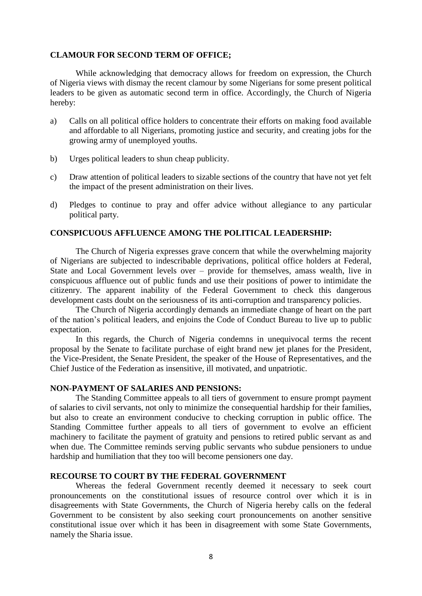#### **CLAMOUR FOR SECOND TERM OF OFFICE;**

While acknowledging that democracy allows for freedom on expression, the Church of Nigeria views with dismay the recent clamour by some Nigerians for some present political leaders to be given as automatic second term in office. Accordingly, the Church of Nigeria hereby:

- a) Calls on all political office holders to concentrate their efforts on making food available and affordable to all Nigerians, promoting justice and security, and creating jobs for the growing army of unemployed youths.
- b) Urges political leaders to shun cheap publicity.
- c) Draw attention of political leaders to sizable sections of the country that have not yet felt the impact of the present administration on their lives.
- d) Pledges to continue to pray and offer advice without allegiance to any particular political party.

#### **CONSPICUOUS AFFLUENCE AMONG THE POLITICAL LEADERSHIP:**

The Church of Nigeria expresses grave concern that while the overwhelming majority of Nigerians are subjected to indescribable deprivations, political office holders at Federal, State and Local Government levels over – provide for themselves, amass wealth, live in conspicuous affluence out of public funds and use their positions of power to intimidate the citizenry. The apparent inability of the Federal Government to check this dangerous development casts doubt on the seriousness of its anti-corruption and transparency policies.

The Church of Nigeria accordingly demands an immediate change of heart on the part of the nation"s political leaders, and enjoins the Code of Conduct Bureau to live up to public expectation.

In this regards, the Church of Nigeria condemns in unequivocal terms the recent proposal by the Senate to facilitate purchase of eight brand new jet planes for the President, the Vice-President, the Senate President, the speaker of the House of Representatives, and the Chief Justice of the Federation as insensitive, ill motivated, and unpatriotic.

#### **NON-PAYMENT OF SALARIES AND PENSIONS:**

The Standing Committee appeals to all tiers of government to ensure prompt payment of salaries to civil servants, not only to minimize the consequential hardship for their families, but also to create an environment conducive to checking corruption in public office. The Standing Committee further appeals to all tiers of government to evolve an efficient machinery to facilitate the payment of gratuity and pensions to retired public servant as and when due. The Committee reminds serving public servants who subdue pensioners to undue hardship and humiliation that they too will become pensioners one day.

## **RECOURSE TO COURT BY THE FEDERAL GOVERNMENT**

Whereas the federal Government recently deemed it necessary to seek court pronouncements on the constitutional issues of resource control over which it is in disagreements with State Governments, the Church of Nigeria hereby calls on the federal Government to be consistent by also seeking court pronouncements on another sensitive constitutional issue over which it has been in disagreement with some State Governments, namely the Sharia issue.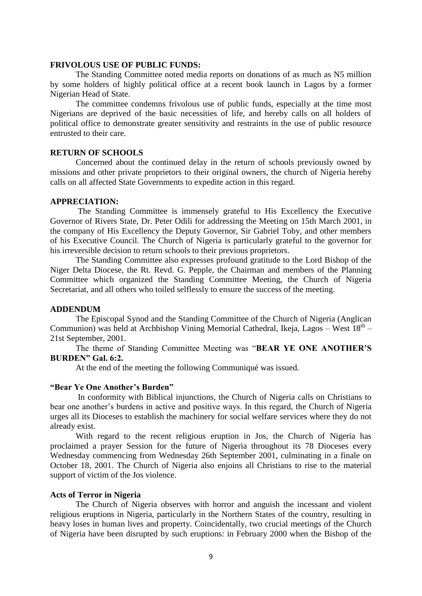#### **FRIVOLOUS USE OF PUBLIC FUNDS:**

The Standing Committee noted media reports on donations of as much as N5 million by some holders of highly political office at a recent book launch in Lagos by a former Nigerian Head of State.

The committee condemns frivolous use of public funds, especially at the time most Nigerians are deprived of the basic necessities of life, and hereby calls on all holders of political office to demonstrate greater sensitivity and restraints in the use of public resource entrusted to their care.

## **RETURN OF SCHOOLS**

Concerned about the continued delay in the return of schools previously owned by missions and other private proprietors to their original owners, the church of Nigeria hereby calls on all affected State Governments to expedite action in this regard.

#### **APPRECIATION:**

The Standing Committee is immensely grateful to His Excellency the Executive Governor of Rivers State, Dr. Peter Odili for addressing the Meeting on 15th March 2001, in the company of His Excellency the Deputy Governor, Sir Gabriel Toby, and other members of his Executive Council. The Church of Nigeria is particularly grateful to the governor for his irreversible decision to return schools to their previous proprietors.

The Standing Committee also expresses profound gratitude to the Lord Bishop of the Niger Delta Diocese, the Rt. Revd. G. Pepple, the Chairman and members of the Planning Committee which organized the Standing Committee Meeting, the Church of Nigeria Secretariat, and all others who toiled selflessly to ensure the success of the meeting.

#### **ADDENDUM**

The Episcopal Synod and the Standing Committee of the Church of Nigeria (Anglican Communion) was held at Archbishop Vining Memorial Cathedral, Ikeja, Lagos - West  $18^{th}$  -21st September, 2001.

The theme of Standing Committee Meeting was "**BEAR YE ONE ANOTHER'S BURDEN" Gal. 6:2.**

At the end of the meeting the following Communiqué was issued.

#### **"Bear Ye One Another's Burden"**

In conformity with Biblical injunctions, the Church of Nigeria calls on Christians to bear one another"s burdens in active and positive ways. In this regard, the Church of Nigeria urges all its Dioceses to establish the machinery for social welfare services where they do not already exist.

With regard to the recent religious eruption in Jos, the Church of Nigeria has proclaimed a prayer Session for the future of Nigeria throughout its 78 Dioceses every Wednesday commencing from Wednesday 26th September 2001, culminating in a finale on October 18, 2001. The Church of Nigeria also enjoins all Christians to rise to the material support of victim of the Jos violence.

#### **Acts of Terror in Nigeria**

The Church of Nigeria observes with horror and anguish the incessant and violent religious eruptions in Nigeria, particularly in the Northern States of the country, resulting in heavy loses in human lives and property. Coincidentally, two crucial meetings of the Church of Nigeria have been disrupted by such eruptions: in February 2000 when the Bishop of the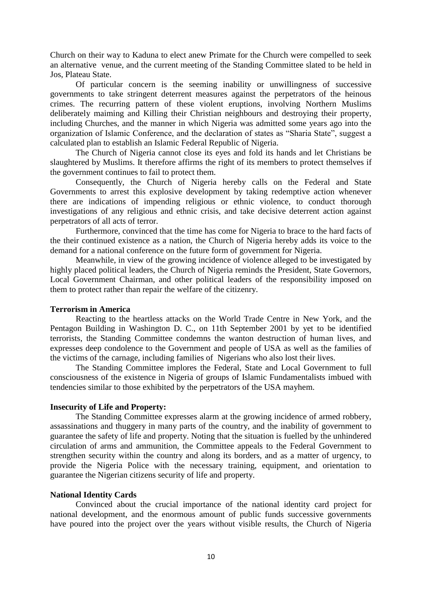Church on their way to Kaduna to elect anew Primate for the Church were compelled to seek an alternative venue, and the current meeting of the Standing Committee slated to be held in Jos, Plateau State.

Of particular concern is the seeming inability or unwillingness of successive governments to take stringent deterrent measures against the perpetrators of the heinous crimes. The recurring pattern of these violent eruptions, involving Northern Muslims deliberately maiming and Killing their Christian neighbours and destroying their property, including Churches, and the manner in which Nigeria was admitted some years ago into the organization of Islamic Conference, and the declaration of states as "Sharia State", suggest a calculated plan to establish an Islamic Federal Republic of Nigeria.

The Church of Nigeria cannot close its eyes and fold its hands and let Christians be slaughtered by Muslims. It therefore affirms the right of its members to protect themselves if the government continues to fail to protect them.

Consequently, the Church of Nigeria hereby calls on the Federal and State Governments to arrest this explosive development by taking redemptive action whenever there are indications of impending religious or ethnic violence, to conduct thorough investigations of any religious and ethnic crisis, and take decisive deterrent action against perpetrators of all acts of terror.

Furthermore, convinced that the time has come for Nigeria to brace to the hard facts of the their continued existence as a nation, the Church of Nigeria hereby adds its voice to the demand for a national conference on the future form of government for Nigeria.

Meanwhile, in view of the growing incidence of violence alleged to be investigated by highly placed political leaders, the Church of Nigeria reminds the President, State Governors, Local Government Chairman, and other political leaders of the responsibility imposed on them to protect rather than repair the welfare of the citizenry.

## **Terrorism in America**

Reacting to the heartless attacks on the World Trade Centre in New York, and the Pentagon Building in Washington D. C., on 11th September 2001 by yet to be identified terrorists, the Standing Committee condemns the wanton destruction of human lives, and expresses deep condolence to the Government and people of USA as well as the families of the victims of the carnage, including families of Nigerians who also lost their lives.

The Standing Committee implores the Federal, State and Local Government to full consciousness of the existence in Nigeria of groups of Islamic Fundamentalists imbued with tendencies similar to those exhibited by the perpetrators of the USA mayhem.

## **Insecurity of Life and Property:**

The Standing Committee expresses alarm at the growing incidence of armed robbery, assassinations and thuggery in many parts of the country, and the inability of government to guarantee the safety of life and property. Noting that the situation is fuelled by the unhindered circulation of arms and ammunition, the Committee appeals to the Federal Government to strengthen security within the country and along its borders, and as a matter of urgency, to provide the Nigeria Police with the necessary training, equipment, and orientation to guarantee the Nigerian citizens security of life and property.

## **National Identity Cards**

Convinced about the crucial importance of the national identity card project for national development, and the enormous amount of public funds successive governments have poured into the project over the years without visible results, the Church of Nigeria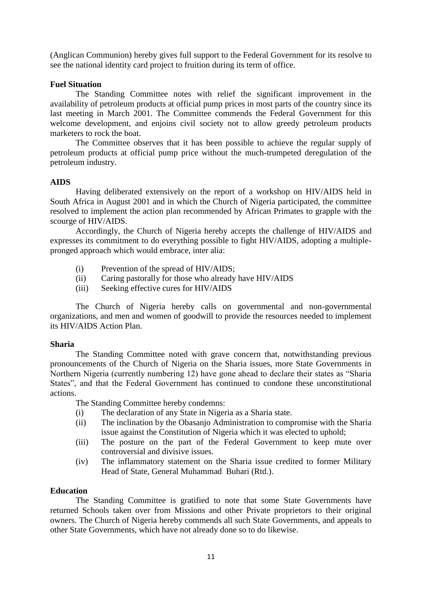(Anglican Communion) hereby gives full support to the Federal Government for its resolve to see the national identity card project to fruition during its term of office.

## **Fuel Situation**

The Standing Committee notes with relief the significant improvement in the availability of petroleum products at official pump prices in most parts of the country since its last meeting in March 2001. The Committee commends the Federal Government for this welcome development, and enjoins civil society not to allow greedy petroleum products marketers to rock the boat.

The Committee observes that it has been possible to achieve the regular supply of petroleum products at official pump price without the much-trumpeted deregulation of the petroleum industry.

#### **AIDS**

Having deliberated extensively on the report of a workshop on HIV/AIDS held in South Africa in August 2001 and in which the Church of Nigeria participated, the committee resolved to implement the action plan recommended by African Primates to grapple with the scourge of HIV/AIDS.

Accordingly, the Church of Nigeria hereby accepts the challenge of HIV/AIDS and expresses its commitment to do everything possible to fight HIV/AIDS, adopting a multiplepronged approach which would embrace, inter alia:

- (i) Prevention of the spread of HIV/AIDS;
- (ii) Caring pastorally for those who already have HIV/AIDS
- (iii) Seeking effective cures for HIV/AIDS

The Church of Nigeria hereby calls on governmental and non-governmental organizations, and men and women of goodwill to provide the resources needed to implement its HIV/AIDS Action Plan.

#### **Sharia**

The Standing Committee noted with grave concern that, notwithstanding previous pronouncements of the Church of Nigeria on the Sharia issues, more State Governments in Northern Nigeria (currently numbering 12) have gone ahead to declare their states as "Sharia States", and that the Federal Government has continued to condone these unconstitutional actions.

The Standing Committee hereby condemns:

- (i) The declaration of any State in Nigeria as a Sharia state.
- (ii) The inclination by the Obasanjo Administration to compromise with the Sharia issue against the Constitution of Nigeria which it was elected to uphold;
- (iii) The posture on the part of the Federal Government to keep mute over controversial and divisive issues.
- (iv) The inflammatory statement on the Sharia issue credited to former Military Head of State, General Muhammad Buhari (Rtd.).

## **Education**

The Standing Committee is gratified to note that some State Governments have returned Schools taken over from Missions and other Private proprietors to their original owners. The Church of Nigeria hereby commends all such State Governments, and appeals to other State Governments, which have not already done so to do likewise.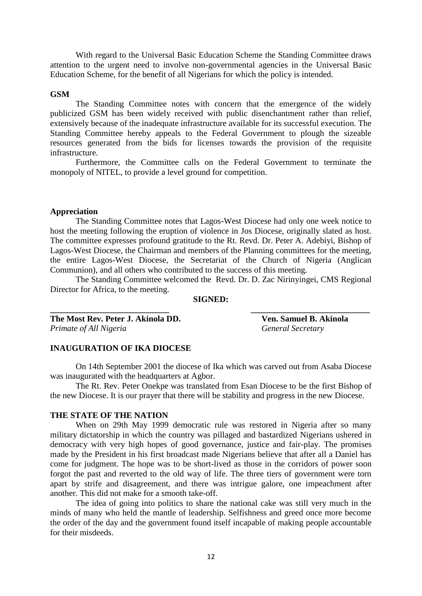With regard to the Universal Basic Education Scheme the Standing Committee draws attention to the urgent need to involve non-governmental agencies in the Universal Basic Education Scheme, for the benefit of all Nigerians for which the policy is intended.

#### **GSM**

The Standing Committee notes with concern that the emergence of the widely publicized GSM has been widely received with public disenchantment rather than relief, extensively because of the inadequate infrastructure available for its successful execution. The Standing Committee hereby appeals to the Federal Government to plough the sizeable resources generated from the bids for licenses towards the provision of the requisite infrastructure.

Furthermore, the Committee calls on the Federal Government to terminate the monopoly of NITEL, to provide a level ground for competition.

#### **Appreciation**

The Standing Committee notes that Lagos-West Diocese had only one week notice to host the meeting following the eruption of violence in Jos Diocese, originally slated as host. The committee expresses profound gratitude to the Rt. Revd. Dr. Peter A. Adebiyi, Bishop of Lagos-West Diocese, the Chairman and members of the Planning committees for the meeting, the entire Lagos-West Diocese, the Secretariat of the Church of Nigeria (Anglican Communion), and all others who contributed to the success of this meeting.

The Standing Committee welcomed the Revd. Dr. D. Zac Nirinyingei, CMS Regional Director for Africa, to the meeting.

**SIGNED: \_\_\_\_\_\_\_\_\_\_\_\_\_\_\_\_\_\_\_\_\_\_\_\_\_\_\_\_ \_\_\_\_\_\_\_\_\_\_\_\_\_\_\_\_\_\_\_\_\_\_\_\_\_\_\_\_**

**The Most Rev. Peter J. Akinola DD. Ven. Samuel B. Akinola** *Primate of All Nigeria* General Secretary

## **INAUGURATION OF IKA DIOCESE**

On 14th September 2001 the diocese of Ika which was carved out from Asaba Diocese was inaugurated with the headquarters at Agbor.

The Rt. Rev. Peter Onekpe was translated from Esan Diocese to be the first Bishop of the new Diocese. It is our prayer that there will be stability and progress in the new Diocese.

#### **THE STATE OF THE NATION**

When on 29th May 1999 democratic rule was restored in Nigeria after so many military dictatorship in which the country was pillaged and bastardized Nigerians ushered in democracy with very high hopes of good governance, justice and fair-play. The promises made by the President in his first broadcast made Nigerians believe that after all a Daniel has come for judgment. The hope was to be short-lived as those in the corridors of power soon forgot the past and reverted to the old way of life. The three tiers of government were torn apart by strife and disagreement, and there was intrigue galore, one impeachment after another. This did not make for a smooth take-off.

The idea of going into politics to share the national cake was still very much in the minds of many who held the mantle of leadership. Selfishness and greed once more become the order of the day and the government found itself incapable of making people accountable for their misdeeds.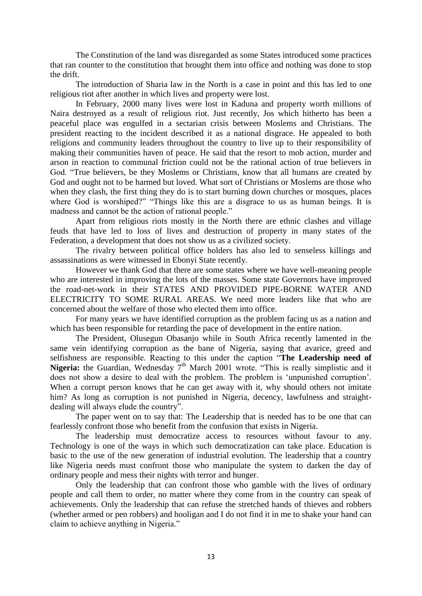The Constitution of the land was disregarded as some States introduced some practices that ran counter to the constitution that brought them into office and nothing was done to stop the drift.

The introduction of Sharia law in the North is a case in point and this has led to one religious riot after another in which lives and property were lost.

In February, 2000 many lives were lost in Kaduna and property worth millions of Naira destroyed as a result of religious riot. Just recently, Jos which hitherto has been a peaceful place was engulfed in a sectarian crisis between Moslems and Christians. The president reacting to the incident described it as a national disgrace. He appealed to both religions and community leaders throughout the country to live up to their responsibility of making their communities haven of peace. He said that the resort to mob action, murder and arson in reaction to communal friction could not be the rational action of true believers in God. "True believers, be they Moslems or Christians, know that all humans are created by God and ought not to be harmed but loved. What sort of Christians or Moslems are those who when they clash, the first thing they do is to start burning down churches or mosques, places where God is worshiped?" "Things like this are a disgrace to us as human beings. It is madness and cannot be the action of rational people."

Apart from religious riots mostly in the North there are ethnic clashes and village feuds that have led to loss of lives and destruction of property in many states of the Federation, a development that does not show us as a civilized society.

The rivalry between political office holders has also led to senseless killings and assassinations as were witnessed in Ebonyi State recently.

However we thank God that there are some states where we have well-meaning people who are interested in improving the lots of the masses. Some state Governors have improved the road-net-work in their STATES AND PROVIDED PIPE-BORNE WATER AND ELECTRICITY TO SOME RURAL AREAS. We need more leaders like that who are concerned about the welfare of those who elected them into office.

For many years we have identified corruption as the problem facing us as a nation and which has been responsible for retarding the pace of development in the entire nation.

The President, Olusegun Obasanjo while in South Africa recently lamented in the same vein identifying corruption as the bane of Nigeria, saying that avarice, greed and selfishness are responsible. Reacting to this under the caption "**The Leadership need of**  Nigeria: the Guardian, Wednesday 7<sup>th</sup> March 2001 wrote. "This is really simplistic and it does not show a desire to deal with the problem. The problem is "unpunished corruption". When a corrupt person knows that he can get away with it, why should others not imitate him? As long as corruption is not punished in Nigeria, decency, lawfulness and straightdealing will always elude the country".

The paper went on to say that: The Leadership that is needed has to be one that can fearlessly confront those who benefit from the confusion that exists in Nigeria.

The leadership must democratize access to resources without favour to any. Technology is one of the ways in which such democratization can take place. Education is basic to the use of the new generation of industrial evolution. The leadership that a country like Nigeria needs must confront those who manipulate the system to darken the day of ordinary people and mess their nights with terror and hunger.

Only the leadership that can confront those who gamble with the lives of ordinary people and call them to order, no matter where they come from in the country can speak of achievements. Only the leadership that can refuse the stretched hands of thieves and robbers (whether armed or pen robbers) and hooligan and I do not find it in me to shake your hand can claim to achieve anything in Nigeria."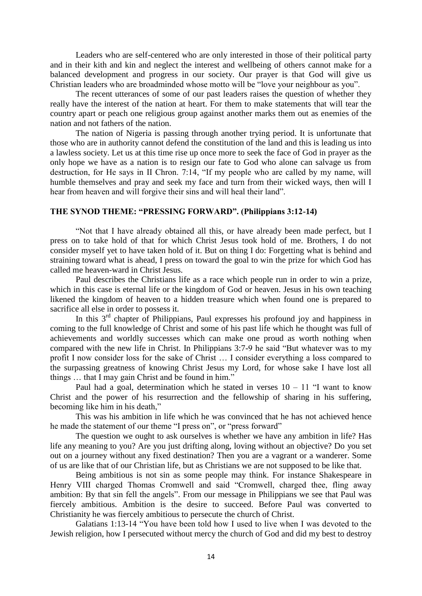Leaders who are self-centered who are only interested in those of their political party and in their kith and kin and neglect the interest and wellbeing of others cannot make for a balanced development and progress in our society. Our prayer is that God will give us Christian leaders who are broadminded whose motto will be "love your neighbour as you".

The recent utterances of some of our past leaders raises the question of whether they really have the interest of the nation at heart. For them to make statements that will tear the country apart or peach one religious group against another marks them out as enemies of the nation and not fathers of the nation.

The nation of Nigeria is passing through another trying period. It is unfortunate that those who are in authority cannot defend the constitution of the land and this is leading us into a lawless society. Let us at this time rise up once more to seek the face of God in prayer as the only hope we have as a nation is to resign our fate to God who alone can salvage us from destruction, for He says in II Chron. 7:14, "If my people who are called by my name, will humble themselves and pray and seek my face and turn from their wicked ways, then will I hear from heaven and will forgive their sins and will heal their land".

#### **THE SYNOD THEME: "PRESSING FORWARD". (Philippians 3:12-14)**

"Not that I have already obtained all this, or have already been made perfect, but I press on to take hold of that for which Christ Jesus took hold of me. Brothers, I do not consider myself yet to have taken hold of it. But on thing I do: Forgetting what is behind and straining toward what is ahead, I press on toward the goal to win the prize for which God has called me heaven-ward in Christ Jesus.

Paul describes the Christians life as a race which people run in order to win a prize, which in this case is eternal life or the kingdom of God or heaven. Jesus in his own teaching likened the kingdom of heaven to a hidden treasure which when found one is prepared to sacrifice all else in order to possess it.

In this 3<sup>rd</sup> chapter of Philippians, Paul expresses his profound joy and happiness in coming to the full knowledge of Christ and some of his past life which he thought was full of achievements and worldly successes which can make one proud as worth nothing when compared with the new life in Christ. In Philippians 3:7-9 he said "But whatever was to my profit I now consider loss for the sake of Christ … I consider everything a loss compared to the surpassing greatness of knowing Christ Jesus my Lord, for whose sake I have lost all things … that I may gain Christ and be found in him."

Paul had a goal, determination which he stated in verses  $10 - 11$  "I want to know Christ and the power of his resurrection and the fellowship of sharing in his suffering, becoming like him in his death,"

This was his ambition in life which he was convinced that he has not achieved hence he made the statement of our theme "I press on", or "press forward"

The question we ought to ask ourselves is whether we have any ambition in life? Has life any meaning to you? Are you just drifting along, loving without an objective? Do you set out on a journey without any fixed destination? Then you are a vagrant or a wanderer. Some of us are like that of our Christian life, but as Christians we are not supposed to be like that.

Being ambitious is not sin as some people may think. For instance Shakespeare in Henry VIII charged Thomas Cromwell and said "Cromwell, charged thee, fling away ambition: By that sin fell the angels". From our message in Philippians we see that Paul was fiercely ambitious. Ambition is the desire to succeed. Before Paul was converted to Christianity he was fiercely ambitious to persecute the church of Christ.

Galatians 1:13-14 "You have been told how I used to live when I was devoted to the Jewish religion, how I persecuted without mercy the church of God and did my best to destroy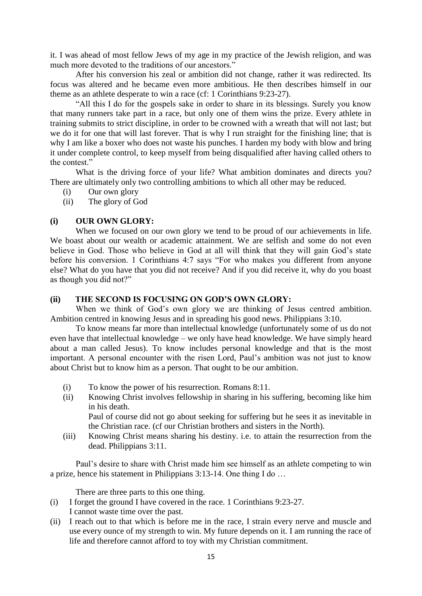it. I was ahead of most fellow Jews of my age in my practice of the Jewish religion, and was much more devoted to the traditions of our ancestors."

After his conversion his zeal or ambition did not change, rather it was redirected. Its focus was altered and he became even more ambitious. He then describes himself in our theme as an athlete desperate to win a race (cf: 1 Corinthians 9:23-27).

"All this I do for the gospels sake in order to share in its blessings. Surely you know that many runners take part in a race, but only one of them wins the prize. Every athlete in training submits to strict discipline, in order to be crowned with a wreath that will not last; but we do it for one that will last forever. That is why I run straight for the finishing line; that is why I am like a boxer who does not waste his punches. I harden my body with blow and bring it under complete control, to keep myself from being disqualified after having called others to the contest."

What is the driving force of your life? What ambition dominates and directs you? There are ultimately only two controlling ambitions to which all other may be reduced.

- (i) Our own glory
- (ii) The glory of God

## **(i) OUR OWN GLORY:**

When we focused on our own glory we tend to be proud of our achievements in life. We boast about our wealth or academic attainment. We are selfish and some do not even believe in God. Those who believe in God at all will think that they will gain God's state before his conversion. 1 Corinthians 4:7 says "For who makes you different from anyone else? What do you have that you did not receive? And if you did receive it, why do you boast as though you did not?"

## **(ii) THE SECOND IS FOCUSING ON GOD'S OWN GLORY:**

When we think of God's own glory we are thinking of Jesus centred ambition. Ambition centred in knowing Jesus and in spreading his good news. Philippians 3:10.

To know means far more than intellectual knowledge (unfortunately some of us do not even have that intellectual knowledge – we only have head knowledge. We have simply heard about a man called Jesus). To know includes personal knowledge and that is the most important. A personal encounter with the risen Lord, Paul"s ambition was not just to know about Christ but to know him as a person. That ought to be our ambition.

- (i) To know the power of his resurrection. Romans 8:11.
- (ii) Knowing Christ involves fellowship in sharing in his suffering, becoming like him in his death. Paul of course did not go about seeking for suffering but he sees it as inevitable in

the Christian race. (cf our Christian brothers and sisters in the North).

(iii) Knowing Christ means sharing his destiny. i.e. to attain the resurrection from the dead. Philippians 3:11.

Paul"s desire to share with Christ made him see himself as an athlete competing to win a prize, hence his statement in Philippians 3:13-14. One thing I do …

There are three parts to this one thing.

- (i) I forget the ground I have covered in the race. 1 Corinthians 9:23-27. I cannot waste time over the past.
- (ii) I reach out to that which is before me in the race, I strain every nerve and muscle and use every ounce of my strength to win. My future depends on it. I am running the race of life and therefore cannot afford to toy with my Christian commitment.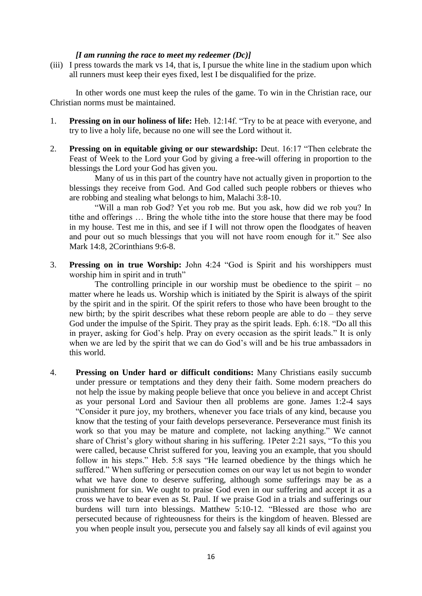#### *[I am running the race to meet my redeemer (Dc)]*

(iii) I press towards the mark vs 14, that is, I pursue the white line in the stadium upon which all runners must keep their eyes fixed, lest I be disqualified for the prize.

In other words one must keep the rules of the game. To win in the Christian race, our Christian norms must be maintained.

- 1. **Pressing on in our holiness of life:** Heb. 12:14f. "Try to be at peace with everyone, and try to live a holy life, because no one will see the Lord without it.
- 2. **Pressing on in equitable giving or our stewardship:** Deut. 16:17 "Then celebrate the Feast of Week to the Lord your God by giving a free-will offering in proportion to the blessings the Lord your God has given you.

Many of us in this part of the country have not actually given in proportion to the blessings they receive from God. And God called such people robbers or thieves who are robbing and stealing what belongs to him, Malachi 3:8-10.

"Will a man rob God? Yet you rob me. But you ask, how did we rob you? In tithe and offerings … Bring the whole tithe into the store house that there may be food in my house. Test me in this, and see if I will not throw open the floodgates of heaven and pour out so much blessings that you will not have room enough for it." See also Mark 14:8, 2Corinthians 9:6-8.

3. **Pressing on in true Worship:** John 4:24 "God is Spirit and his worshippers must worship him in spirit and in truth"

The controlling principle in our worship must be obedience to the spirit  $-$  no matter where he leads us. Worship which is initiated by the Spirit is always of the spirit by the spirit and in the spirit. Of the spirit refers to those who have been brought to the new birth; by the spirit describes what these reborn people are able to do – they serve God under the impulse of the Spirit. They pray as the spirit leads. Eph. 6:18. "Do all this in prayer, asking for God"s help. Pray on every occasion as the spirit leads." It is only when we are led by the spirit that we can do God's will and be his true ambassadors in this world.

4. **Pressing on Under hard or difficult conditions:** Many Christians easily succumb under pressure or temptations and they deny their faith. Some modern preachers do not help the issue by making people believe that once you believe in and accept Christ as your personal Lord and Saviour then all problems are gone. James 1:2-4 says "Consider it pure joy, my brothers, whenever you face trials of any kind, because you know that the testing of your faith develops perseverance. Perseverance must finish its work so that you may be mature and complete, not lacking anything." We cannot share of Christ's glory without sharing in his suffering. 1Peter 2:21 says, "To this you were called, because Christ suffered for you, leaving you an example, that you should follow in his steps." Heb. 5:8 says "He learned obedience by the things which he suffered." When suffering or persecution comes on our way let us not begin to wonder what we have done to deserve suffering, although some sufferings may be as a punishment for sin. We ought to praise God even in our suffering and accept it as a cross we have to bear even as St. Paul. If we praise God in a trials and sufferings our burdens will turn into blessings. Matthew 5:10-12. "Blessed are those who are persecuted because of righteousness for theirs is the kingdom of heaven. Blessed are you when people insult you, persecute you and falsely say all kinds of evil against you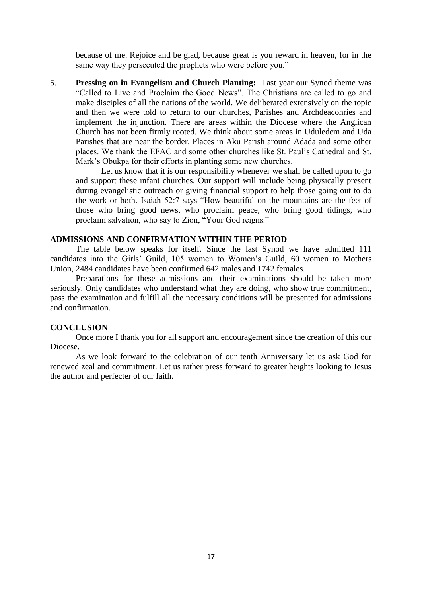because of me. Rejoice and be glad, because great is you reward in heaven, for in the same way they persecuted the prophets who were before you."

5. **Pressing on in Evangelism and Church Planting:** Last year our Synod theme was "Called to Live and Proclaim the Good News". The Christians are called to go and make disciples of all the nations of the world. We deliberated extensively on the topic and then we were told to return to our churches, Parishes and Archdeaconries and implement the injunction. There are areas within the Diocese where the Anglican Church has not been firmly rooted. We think about some areas in Uduledem and Uda Parishes that are near the border. Places in Aku Parish around Adada and some other places. We thank the EFAC and some other churches like St. Paul"s Cathedral and St. Mark"s Obukpa for their efforts in planting some new churches.

Let us know that it is our responsibility whenever we shall be called upon to go and support these infant churches. Our support will include being physically present during evangelistic outreach or giving financial support to help those going out to do the work or both. Isaiah 52:7 says "How beautiful on the mountains are the feet of those who bring good news, who proclaim peace, who bring good tidings, who proclaim salvation, who say to Zion, "Your God reigns."

#### **ADMISSIONS AND CONFIRMATION WITHIN THE PERIOD**

The table below speaks for itself. Since the last Synod we have admitted 111 candidates into the Girls" Guild, 105 women to Women"s Guild, 60 women to Mothers Union, 2484 candidates have been confirmed 642 males and 1742 females.

Preparations for these admissions and their examinations should be taken more seriously. Only candidates who understand what they are doing, who show true commitment, pass the examination and fulfill all the necessary conditions will be presented for admissions and confirmation.

#### **CONCLUSION**

Once more I thank you for all support and encouragement since the creation of this our Diocese.

As we look forward to the celebration of our tenth Anniversary let us ask God for renewed zeal and commitment. Let us rather press forward to greater heights looking to Jesus the author and perfecter of our faith.